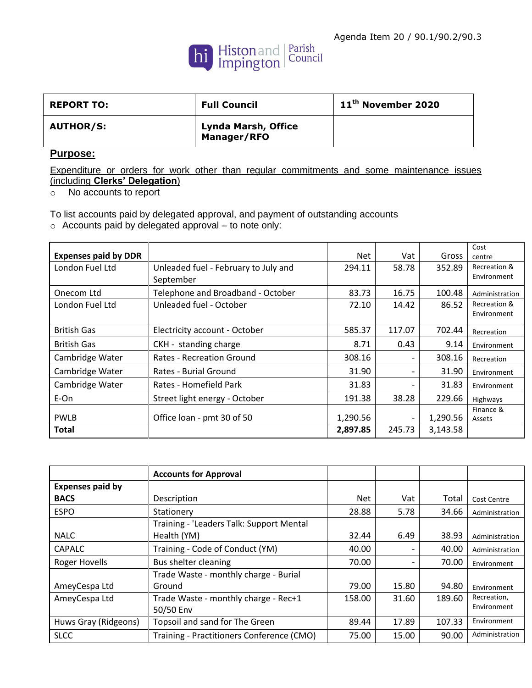

| <b>REPORT TO:</b> | <b>Full Council</b>                       | 11 <sup>th</sup> November 2020 |
|-------------------|-------------------------------------------|--------------------------------|
| <b>AUTHOR/S:</b>  | <b>Lynda Marsh, Office</b><br>Manager/RFO |                                |

## **Purpose:**

Expenditure or orders for work other than regular commitments and some maintenance issues (including **Clerks' Delegation**)

o No accounts to report

To list accounts paid by delegated approval, and payment of outstanding accounts o Accounts paid by delegated approval – to note only:

| <b>Expenses paid by DDR</b> |                                                   | Net      | Vat                      | Gross    | Cost<br>centre              |
|-----------------------------|---------------------------------------------------|----------|--------------------------|----------|-----------------------------|
| London Fuel Ltd             | Unleaded fuel - February to July and<br>September | 294.11   | 58.78                    | 352.89   | Recreation &<br>Environment |
| Onecom Ltd                  | Telephone and Broadband - October                 | 83.73    | 16.75                    | 100.48   | Administration              |
| London Fuel Ltd             | Unleaded fuel - October                           | 72.10    | 14.42                    | 86.52    | Recreation &<br>Environment |
| <b>British Gas</b>          | Electricity account - October                     | 585.37   | 117.07                   | 702.44   | Recreation                  |
| <b>British Gas</b>          | CKH - standing charge                             | 8.71     | 0.43                     | 9.14     | Environment                 |
| Cambridge Water             | <b>Rates - Recreation Ground</b>                  | 308.16   | $\overline{\phantom{0}}$ | 308.16   | Recreation                  |
| Cambridge Water             | Rates - Burial Ground                             | 31.90    | -                        | 31.90    | Environment                 |
| Cambridge Water             | Rates - Homefield Park                            | 31.83    | -                        | 31.83    | Environment                 |
| E-On                        | Street light energy - October                     | 191.38   | 38.28                    | 229.66   | Highways                    |
| <b>PWLB</b>                 | Office loan - pmt 30 of 50                        | 1,290.56 |                          | 1,290.56 | Finance &<br>Assets         |
| <b>Total</b>                |                                                   | 2,897.85 | 245.73                   | 3,143.58 |                             |

|                         | <b>Accounts for Approval</b>              |        |       |        |                    |
|-------------------------|-------------------------------------------|--------|-------|--------|--------------------|
| <b>Expenses paid by</b> |                                           |        |       |        |                    |
| <b>BACS</b>             | Description                               | Net    | Vat   | Total  | <b>Cost Centre</b> |
| <b>ESPO</b>             | Stationery                                | 28.88  | 5.78  | 34.66  | Administration     |
|                         | Training - 'Leaders Talk: Support Mental  |        |       |        |                    |
| <b>NALC</b>             | Health (YM)                               | 32.44  | 6.49  | 38.93  | Administration     |
| <b>CAPALC</b>           | Training - Code of Conduct (YM)           | 40.00  |       | 40.00  | Administration     |
| <b>Roger Hovells</b>    | Bus shelter cleaning                      | 70.00  |       | 70.00  | Environment        |
|                         | Trade Waste - monthly charge - Burial     |        |       |        |                    |
| AmeyCespa Ltd           | Ground                                    | 79.00  | 15.80 | 94.80  | Environment        |
| AmeyCespa Ltd           | Trade Waste - monthly charge - Rec+1      | 158.00 | 31.60 | 189.60 | Recreation,        |
|                         | 50/50 Env                                 |        |       |        | Environment        |
| Huws Gray (Ridgeons)    | Topsoil and sand for The Green            | 89.44  | 17.89 | 107.33 | Environment        |
| <b>SLCC</b>             | Training - Practitioners Conference (CMO) | 75.00  | 15.00 | 90.00  | Administration     |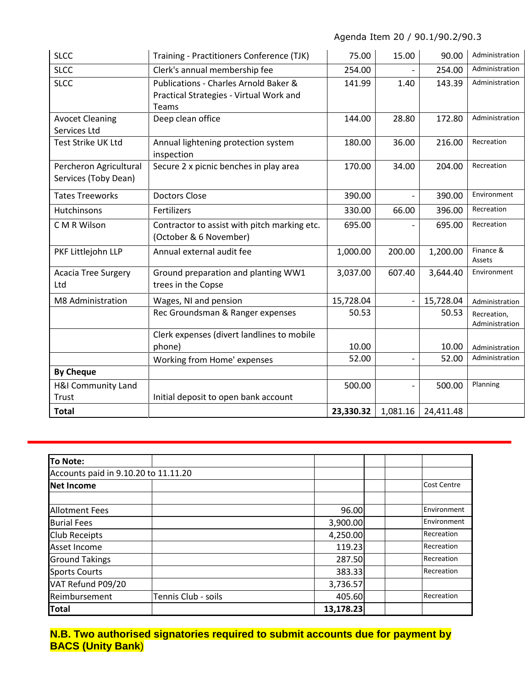| <b>SLCC</b>                                    | Training - Practitioners Conference (TJK)                                                 | 75.00     | 15.00    | 90.00     | Administration                |
|------------------------------------------------|-------------------------------------------------------------------------------------------|-----------|----------|-----------|-------------------------------|
| <b>SLCC</b>                                    | Clerk's annual membership fee                                                             | 254.00    |          | 254.00    | Administration                |
| <b>SLCC</b>                                    | Publications - Charles Arnold Baker &<br>Practical Strategies - Virtual Work and<br>Teams | 141.99    | 1.40     | 143.39    | Administration                |
| <b>Avocet Cleaning</b><br>Services Ltd         | Deep clean office                                                                         | 144.00    | 28.80    | 172.80    | Administration                |
| Test Strike UK Ltd                             | Annual lightening protection system<br>inspection                                         | 180.00    | 36.00    | 216.00    | Recreation                    |
| Percheron Agricultural<br>Services (Toby Dean) | Secure 2 x picnic benches in play area                                                    | 170.00    | 34.00    | 204.00    | Recreation                    |
| <b>Tates Treeworks</b>                         | <b>Doctors Close</b>                                                                      | 390.00    |          | 390.00    | Environment                   |
| <b>Hutchinsons</b>                             | Fertilizers                                                                               | 330.00    | 66.00    | 396.00    | Recreation                    |
| C M R Wilson                                   | Contractor to assist with pitch marking etc.<br>(October & 6 November)                    | 695.00    |          | 695.00    | Recreation                    |
| PKF Littlejohn LLP                             | Annual external audit fee                                                                 | 1,000.00  | 200.00   | 1,200.00  | Finance &<br>Assets           |
| <b>Acacia Tree Surgery</b><br>Ltd              | Ground preparation and planting WW1<br>trees in the Copse                                 | 3,037.00  | 607.40   | 3,644.40  | Environment                   |
| M8 Administration                              | Wages, NI and pension                                                                     | 15,728.04 |          | 15,728.04 | Administration                |
|                                                | Rec Groundsman & Ranger expenses                                                          | 50.53     |          | 50.53     | Recreation,<br>Administration |
|                                                | Clerk expenses (divert landlines to mobile<br>phone)                                      | 10.00     |          | 10.00     | Administration                |
|                                                | Working from Home' expenses                                                               | 52.00     |          | 52.00     | Administration                |
| <b>By Cheque</b>                               |                                                                                           |           |          |           |                               |
| <b>H&amp;I Community Land</b><br>Trust         | Initial deposit to open bank account                                                      | 500.00    |          | 500.00    | Planning                      |
| <b>Total</b>                                   |                                                                                           | 23,330.32 | 1,081.16 | 24,411.48 |                               |

| To Note:                             |                     |           |                    |
|--------------------------------------|---------------------|-----------|--------------------|
| Accounts paid in 9.10.20 to 11.11.20 |                     |           |                    |
| <b>Net Income</b>                    |                     |           | <b>Cost Centre</b> |
|                                      |                     |           |                    |
| <b>Allotment Fees</b>                |                     | 96.00     | Environment        |
| <b>Burial Fees</b>                   |                     | 3,900.00  | Environment        |
| <b>Club Receipts</b>                 |                     | 4,250.00  | Recreation         |
| Asset Income                         |                     | 119.23    | Recreation         |
| <b>Ground Takings</b>                |                     | 287.50    | Recreation         |
| <b>Sports Courts</b>                 |                     | 383.33    | Recreation         |
| VAT Refund P09/20                    |                     | 3,736.57  |                    |
| Reimbursement                        | Tennis Club - soils | 405.60    | Recreation         |
| <b>Total</b>                         |                     | 13,178.23 |                    |

**N.B. Two authorised signatories required to submit accounts due for payment by BACS (Unity Bank**)